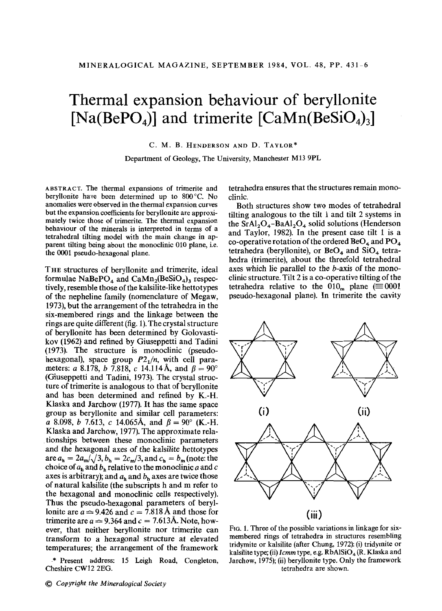## **Thermal expansion behaviour of beryllonite**  $[Na(BePO<sub>4</sub>)]$  and trimerite  $[CaMn(BeSiO<sub>4</sub>)<sub>3</sub>]$

C. M. B. HENDERSON AND D. TAYLOR\*

Department of Geology, The University, Manchester M13 9PL

ABSTRACT. The thermal expansions of trimerite and berylIonite have been determined up to 800°C. No anomalies were observed in the thermal expansion curves but the expansion coefficients for berylIonite are approximately twice those of trimerite. The thermal expansion behaviour of the minerals is interpreted in terms of a tetrahedral tilting model with the main change in apparent tilting being about the monoclinic 010 plane, i.e. the 0001 pseudo-hexagonal plane.

THE structures of beryllonite and trimerite, ideal formulae NaBePO<sub>4</sub> and CaMn<sub>2</sub>(BeSiO<sub>4</sub>)<sub>3</sub> respectively, resemble those of the kalsilite-like hettotypes of the nepheline family (nomenclature of Megaw, 1973), but the arrangement of the tetrahedra in the six-membered rings and the linkage between the rings are quite different (fig. 1). The crystal structure of beryllonite has been determined by Golovastikov (1962) and refined by Giuseppetti and Tadini (1973). The structure is monoclinic (pseudohexagonal), space group  $P2<sub>1</sub>/n$ , with cell parameters: *a* 8.178, *b* 7.818, *c* 14.114 Å, and  $\beta = 90^{\circ}$ (Giuseppetti and Tadini, 1973). The crystal structure of trimerite is analogous to that of beryllonite and has been determined and refined by K.-H. Klaska and Jarchow (1977). It has the same space group as beryllonite and similar cell parameters: a 8.098, *b* 7.613, *c* 14.065Å, and  $\beta = 90^{\circ}$  (K.-H. Klaska and Jarchow, 1977). The approximate rela- .tionships between these monoclinic parameters and the hexagonal axes of the kalsilite hettotypes are  $a_h = 2a_m/\sqrt{3}$ ,  $b_h = 2c_m/3$ , and  $c_h = b_m$  (note: the choice of  $a<sub>b</sub>$  and  $b<sub>b</sub>$  relative to the monoclinic *a* and *c* axes is arbitrary); and  $a<sub>b</sub>$  and  $b<sub>b</sub>$  axes are twice those of natural kalsilite (the subscripts h and m refer to the hexagonal and monoclinic cells respectively). Thus the pseudo-hexagonal parameters of beryllonite are  $a \approx 9.426$  and  $c = 7.818$  Å and those for trimerite are  $a \approx 9.364$  and  $c = 7.613$ Å. Note, however, that neither beryllonite nor trimerite can transform to a hexagonal structure at elevated temperatures; the arrangement of the framework

.\* Present address: 15 Leigh Road, Congleton, Cheshire CW12 2EG.

tetrahedra ensures that the structures remain monoclinic.

Both structures show two modes of tetrahedral tilting analogous to the tilt 1 and tilt 2 systems in the  $SrAl<sub>2</sub>O<sub>4</sub> - BaAl<sub>2</sub>O<sub>4</sub>$  solid solutions (Henderson and Taylor, 1982). In the present case tilt 1 is a co-operative rotation of the ordered  $BeO<sub>4</sub>$  and  $PO<sub>4</sub>$ tetrahedra (beryllonite), or  $BeO<sub>4</sub>$  and  $SiO<sub>4</sub>$  tetrahedra (trimerite), about the threefold tetrahedral axes which lie parallel *to* the b-axis of the monoclinic structure. Tilt  $2$  is a co-operative tilting of the tetrahedra relative to the  $010<sub>m</sub>$  plane ( $\equiv 0001$ ) pseudo-hexagonal plane). In trimerite the cavity



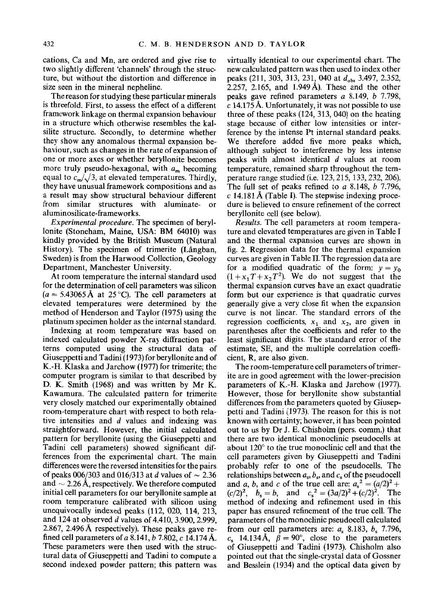cations, Ca and Mn, are ordered and give rise to two slightly different 'channels' through the structure, but without the distortion and difference in size seen in the mineral nepheline.

The reason for studying these particular minerals is threefold. First, to assess the effect of a different framework linkage on thermal expansion behaviour in a structure which otherwise resembles the kalsilite structure. Secondly, to determine whether they show any anomalous thermal expansion behaviour, such as changes in the rate of expansion of one or more axes or whether beryllonite becomes more truly pseudo-hexagonal, with *am* becoming equal to  $c_m/\sqrt{3}$ , at elevated temperatures. Thirdly, they have unusual framework compositions and as a result may show structural behaviour different from similar structures with aluminate- or aluminosilicate-frameworks.

*Experimental procedure.* The specimen of beryllonite (Stoneham, Maine, USA: BM 64010) was kindly provided by the British Museum (Natural History). The specimen of trimerite (Långban, Sweden) is from the Harwood Collection, Geology Department, Manchester University.

At room temperature the internal standard used for the determination of cell parameters was silicon  $(a = 5.43065 \text{ Å}$  at 25 °C). The cell parameters at elevated temperatures were determined by the method of Henderson and Taylor (1975) using the platinum specimen holder as the internal standard.

Indexing at room temperature was based on indexed calculated powder X-ray diffraction patterns computed using the structural data of Giuseppetti and Tadini (1973) for beryllonite and of K.-H. Klaska and Jarchow (1977) for trimerite; the computer program is similar to that described by D. K. Smith (1968) and was written by Mr K. Kawamura. The calculated pattern for trimerite very closely matched our experimentally obtained room-temperature chart with respect to both relative intensities and *d* values and indexing was straightforward. However, the initial calculated pattern for beryllonite (using the Giuseppetti and Tadini cell parameters) showed significant differences from the experimental chart. The main differences were the reversed intensitiesfor the pairs of peaks  $0.06/303$  and  $0.06/313$  at *d* values of  $\sim 2.36$ and  $\sim$  2.26 Å, respectively. We therefore computed initial cell parameters for our beryllonite sample at room temperature calibrated with silicon using unequivocally indexed peaks (112, 020, 114, 213, and 124 at observed *d* values of 4.410, 3.900, 2.999, 2.867, 2.496 A respectively). These peaks gave refined cell parameters of *a* 8.141, *b* 7.802, c 14.174 A. These parameters were then used with the structural data of Giuseppetti and Tadini to compute a second indexed powder pattern; this pattern was

virtually identical to our experimental chart. The new calculated pattern was then used to index other peaks (211, 303, 313, 231, 040 at  $d_{\text{obs}}$  3.497, 2.352, 2.257, 2.165, and 1.949 A). These and the other peaks gave refined parameters *a* 8.149, *b 7.798,* c 14.175 Å. Unfortunately, it was not possible to use three of these peaks (124, 313, 040) on the heating stage because of either low intensities or interference by the intense Pt internal standard peaks. We therefore added five more peaks which, although subject to interference by less intense peaks with almost identical d values at room temperature, remained sharp throughout the temperature range studied (i.e. 123,215,133,232,206). The full set of peaks refined to *a* 8.148, *b 7.796,*  $c$  14.181 Å (Table I). The stepwise indexing procedure is believed to ensure refinement of the correct beryllonite cell (see below).

*Results.* The cell parameters at room temperature and elevated temperatures are given in Table I and the thermal expansion curves are shown in fig. 2. Regression data for the thermal expansion curves are given in Table 11. The regression data are for a modified quadratic of the form:  $y = y_0$  $(1+x_1T+x_2T^2)$ . We do not suggest that the thermal expansion curves have an exact quadratic form but our experience is that quadratic curves generally give a very close fit when the expansion curve is not linear. The standard errors of the regression coefficients,  $x_1$  and  $x_2$ , are given in parentheses after the coefficients and refer to the least significant digits. The standard error of the estimate, SE, and the multiple correlation coefficient, R, are also given.

The room-temperature cell parameters of trimerite are in good agreement with the lower-precision parameters of K.-H. Klaska and Jarchow (1977). However, those for beryllonite show substantial differences from the parameters quoted by Giuseppetti and Tadini (1973). The reason for this is not known with certainty; however, it has been pointed out to us by Dr J. E. Chisholm (pers. comm.) that there are two identical monoclinic pseudocells at about  $120^{\circ}$  to the true monoclinic cell and that the cell parameters given by Giuseppetti and Tadini probably refer to one of the pseudocells. The relationships between  $a_s$ ,  $b_s$ , and  $c_s$  of the pseudocell and *a*, *b*, and *c* of the true cell are:  $a_s^2 = (a/2)^2 +$  $(c/2)^2$ ,  $b_s = b$ , and  $c_s^2 = (3a/2)^2 + (c/2)^2$ . The method of indexing and refinement used in this paper has ensured refinement of the true cell. The parameters of the monoclinic pseudocell calculated from our cell parameters are:  $a_s$  8.183,  $b_s$  7.796, c<sub>s</sub> 14.134 Å,  $\beta = 90^{\circ}$ , close to the parameters of Giuseppetti and Tadini (1973). Chisholm also pointed out that the single-crystal data of Gossner and Besslein (1934) and the optical data given by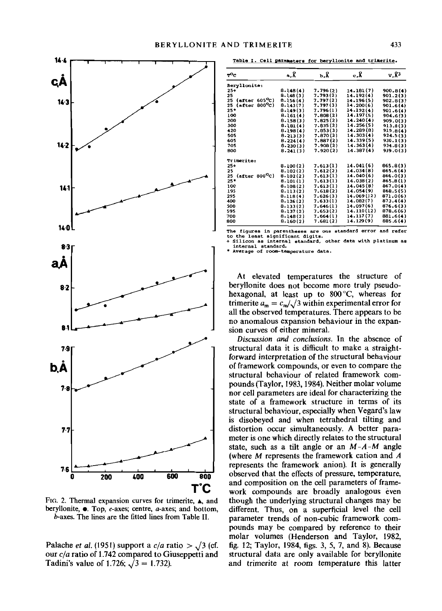

FIG. 2. Thermal expansion curves for trimerite,  $\blacktriangle$ , and beryllonite,  $\bullet$ . Top, c-axes; centre, a-axes; and bottom, b-axes. The lines are the fitted lines from Table H.

Palache *et al.* (1951) support a  $c/a$  ratio  $>$   $\sqrt{3}$  (cf. our *cia* ratio of 1.742 compared to Giuseppetti and Tadini's value of 1.726;  $\sqrt{3} = 1.732$ ).

**7able I. Cell parameters for beryllonite and trimerite.** 

| $_{\rm T}^{\rm o}$ c         | 9. R     | ъ.8      | c.Å        | v.8 <sup>3</sup> |  |
|------------------------------|----------|----------|------------|------------------|--|
| Beryllonite:                 |          |          |            |                  |  |
| $25+$                        | 8.148(4) | 7.796(2) | 14.181 (7) | 900.8(4)         |  |
| 25                           | 8.148(3) | 7.793(2) | 14.192(4)  | 901.2(3)         |  |
| $(after 605^{\circ}C)$<br>25 | 8.156(4) | 7.797(2) | 14.196 (5) | 902.8(3)         |  |
| $(after 800^{\circ}c)$<br>25 | 8.143(7) | 7,797(3) | 14.200(6)  | 901.6(4)         |  |
| $25*$                        | 8.149(3) | 7.796(1) | 14.192(4)  | 901.6(4)         |  |
| 100                          | 8.161(4) | 7.808(2) | 14.197(5)  | 904.6(3)         |  |
| 200                          | 8.158(3) | 7,825(2) | 14.240(4)  | 909.0(3)         |  |
| 300                          | 8.181(4) | 7.835(2) | 14.256(5)  | 913.8(3)         |  |
| 420                          | 8.198(4) | 7.853(3) | 14.289(8)  | 919.8(4)         |  |
| 505                          | 8.213(3) | 7.870(2) | 14.303(4)  | 924.5(3)         |  |
| 605                          | 8.224(4) | 7.887(2) | 14.339(5)  | 930.1(3)         |  |
| 705                          | 8.230(3) | 7.908(2) | 14.363(4)  | 934.8(3)         |  |
| 800                          | 8.241(3) | 7.920(2) | 14.387(4)  | 939,0(3)         |  |
| Trimerite:                   |          |          |            |                  |  |
| $25+$                        | 8.100(2) | 7.613(1) | 14.041(6)  | 865.8(3)         |  |
| 25                           | 8.102(2) | 7.612(2) | 14.034(8)  | 865.6(4)         |  |
| $(after 800^{\circ}c)$<br>25 | 8.102(2) | 7.613(1) | 14.040(6)  | 866.0(3)         |  |
| $25*$                        | 8.101(1) | 7.613(1) | 14.038(2)  | 865.8(1)         |  |
| 100                          | 8.108(2) | 7.613(1) | 14.045(8)  | 867,0(4)         |  |
| 195                          | 8.113(2) | 7.618(2) | 14.054(9)  | 868.5(5)         |  |
| 295                          | 8.118(4) | 7.626(3) | 14.069(12) | 871.0(6)         |  |
| 400                          | 8.126(2) | 7.633(1) | 14.082(7)  | 873.4(4)         |  |
| 500                          | 8.133(2) | 7.646(1) | 14.097(6)  | 876.6(3)         |  |
| 595                          | 8.137(2) | 7.653(2) | 14.110(12) | 878.6(6)         |  |
| 700                          | 8.148(2) | 7.664(1) | 14.117(7)  | 881.6(4)         |  |
| 800                          | 8.160(2) | 7,681(2) | 14.129(9)  | 885.6(4)         |  |

**The figures in parentheses are one st.andard error and refer to the least significant digits.**

**+ Silicon as internal standard, other data with platinum 88 interna 1 standard. .. Average of room-t8Jl:l.perature data.**

At elevated temperatures the structure of beryllonite does not become more truly pseudohexagonal, at least up to 800 °C, whereas for trimerite  $a_m = c_m / \sqrt{3}$  within experimental error for all the observed temperatures. There appears to be no anomalous expansion behaviour in the expansion curves of either mineral.

*Discussion and conclusions.* In the absence of structural data it is difficult to make a straightforward interpretation of the structural behaviour of framework compounds, or even to compare the structural behaviour of related framework compounds (Taylor, 1983, 1984). Neither molar volume nor cell parameters are ideal for characterizing the state of a framework structure in terms of its structural behaviour, especially when Vegard's law is disobeyed and when tetrahedral tilting and distortion occur simultaneously. A better parameter is one which directly relates to the structural state, such as a tilt angle or an  $M-A-M$  angle (where M represents the framework cation and A represents the framework anion). It is generally observed that the effects of pressure, temperature, and composition on the cell parameters of framework compounds are broadly analogous even though the underlying structural changes may be different. Thus, on a superficial level the cell parameter trends of non-cubic framework compounds may be compared by reference to their molar volumes (Henderson and Taylor, 1982, fig. 12; Taylor, 1984, figs. 3, 5, 7, and 8). Because structural data are only available for beryllonite and trimerite at room temperature this latter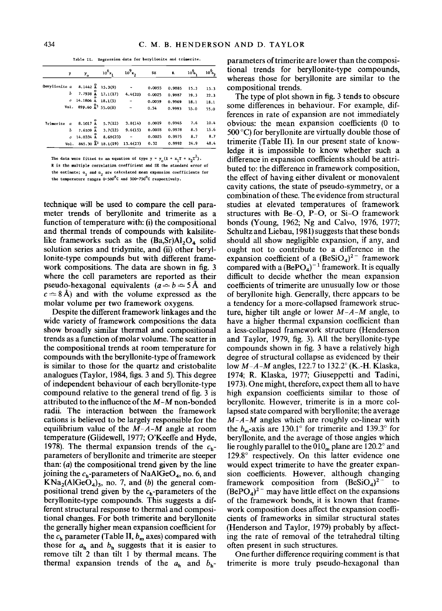Table II. Regression data for beryllonite and trimerite.

|               | у        | У.               | $10^{6}$ x                                | $10^{9}x$ | SE     | R      | 10 <sup>6</sup> | $10^6$ |
|---------------|----------|------------------|-------------------------------------------|-----------|--------|--------|-----------------|--------|
| Beryllonite a |          |                  | 8.1442 $\stackrel{0}{\mathbf{A}}$ 15.3(9) |           | 0.0055 | 0.9885 | 15.3            | 15.3   |
|               | ь        | $7.7938$ $\AA$   | 17.1(17)                                  | 4.4(20)   | 0.0025 | 0.9987 | 19.3            | 22.3   |
|               | o        | 14.1806 A        | 18.1(5)                                   |           | 0.0059 | 0.9969 | 18.1            | 18.1   |
|               | Vol.     |                  | 899.60 $\frac{0}{4}$ 55.0(8)              |           | 0.54   | 0.9993 | 55.0            | 55.0   |
| Trimerite     | $\alpha$ | $8.1017$ $A$     | 5.7(12)                                   | 3.8(14)   | 0.0019 | 0.9965 | 7.6             | 10.4   |
|               | ь        | $7.6109$ $0$     | 3.7(12)                                   | 9.6(15)   | 0.0018 | 0.9978 | 8.5             | 15.6   |
|               | c.       | $14.0334 \, \AA$ | 8.69(23)                                  |           | 0.0025 | 0.9975 | 8.7             | 8.7    |
|               |          |                  | $Vol. 865, 30 \tbinom{2}{3} 18.1(19)$     | 13,6(23)  | 0.32   | 0.9992 | 24.9            | 48.4   |

The data were fitted to an equation of type  $y = y_0(1 + x_1T + x_2T^2)$ . R is the multiple correlation coefficient and SE the standard error of the estimate;  $a_1$  and  $a_2$  are calculated mean expansion coefficients for the temperature ranges 0-500°C and 500-750°C respectively.

technique will be used to compare the cell parameter trends of beryllonite and trimerite as a function of temperature with: (i) the compositional and thermal trends of compounds with kalsilitelike frameworks such as the  $(Ba, Sr)Al_2O_4$  solid solution series and tridymite, and (ii) other beryllonite-type compounds but with different framework compositions. The data are shown in fig. 3 where the cell parameters are reported as their pseudo-hexagonal equivalents ( $a \approx b \approx 5 \text{ Å}$  and  $c \approx 8$ Å) and with the volume expressed as the molar volume per two framework oxygens.

Despite the different framework linkages and the wide variety of framework compositions the data show broadly similar thermal and compositional trends as a function of molar volume. The scatter in the compositional trends at room temperature for compounds with the beryllonite-type of framework is similar to those for the quartz and cristobalite analogues (Taylor, 1984, figs. 3 and 5). This degree of independent behaviour of each beryllonite-type compound relative to the general trend of fig. 3 is attributed to the influence of the  $M-M$  non-bonded radii. The interaction between the framework cations is believed to be largely responsible for the equilibrium value of the  $M-A-M$  angle at room temperature (Glidewell, 1977; O'Keeffe and Hyde, 1978). The thermal expansion trends of the  $c<sub>h</sub>$ parameters of beryllonite and trimerite are steeper than:  $(a)$  the compositional trend given by the line joining the  $c_h$ -parameters of NaAlGeO<sub>4</sub>, no. 6, and  $KNa_2(A1GeO_4)_3$ , no. 7, and (b) the general compositional trend given by the  $c_h$ -parameters of the beryllonite-type compounds. This suggests a different structural response to thermal and compositional changes. For both trimerite and beryllonite the generally higher mean expansion coefficient for the  $c_h$  parameter (Table II,  $b_m$  axes) compared with those for  $a_h$  and  $b_h$  suggests that it is easier to remove tilt 2 than tilt 1 by thermal means. The thermal expansion trends of the  $a_h$  and  $b_h$ - parameters of trimerite are lower than the compositional trends for beryllonite-type compounds. whereas those for beryllonite are similar to the compositional trends.

The type of plot shown in fig. 3 tends to obscure some differences in behaviour. For example, differences in rate of expansion are not immediately obvious: the mean expansion coefficients (0 to  $500^{\circ}$ C) for beryllonite are virtually double those of trimerite (Table II). In our present state of knowledge it is impossible to know whether such a difference in expansion coefficients should be attributed to: the difference in framework composition, the effect of having either divalent or monovalent cavity cations, the state of pseudo-symmetry, or a combination of these. The evidence from structural studies at elevated temperatures of framework structures with Be-O, P-O, or Si-O framework bonds (Young, 1962; Ng and Calvo, 1976, 1977; Schultz and Liebau, 1981) suggests that these bonds should all show negligible expansion, if any, and ought not to contribute to a difference in the expansion coefficient of a  $(BeSiO<sub>4</sub>)<sup>2</sup>$  framework<br>compared with a  $(BePO<sub>4</sub>)<sup>-1</sup>$  framework. It is equally difficult to decide whether the mean expansion coefficients of trimerite are unusually low or those of beryllonite high. Generally, there appears to be a tendency for a more-collapsed framework structure, higher tilt angle or lower  $M-A-M$  angle, to have a higher thermal expansion coefficient than a less-collapsed framework structure (Henderson and Taylor, 1979, fig. 3). All the beryllonite-type compounds shown in fig. 3 have a relatively high degree of structural collapse as evidenced by their low  $M-A-M$  angles, 122.7 to 132.2° (K.-H. Klaska, 1974; R. Klaska, 1977; Giuseppetti and Tadini, 1973). One might, therefore, expect them all to have high expansion coefficients similar to those of beryllonite. However, trimerite is in a more collapsed state compared with beryllonite; the average  $M-A-M$  angles which are roughly co-linear with the  $b_m$ -axis are 130.1° for trimerite and 139.3° for beryllonite, and the average of those angles which lie roughly parallel to the  $010<sub>m</sub>$  plane are  $120.2^{\circ}$  and 129.8° respectively. On this latter evidence one would expect trimerite to have the greater expansion coefficients. However, although changing framework composition from  $(BeSiO<sub>4</sub>)<sup>2</sup>$  to  $(BePO<sub>4</sub>)<sup>2</sup>$  may have little effect on the expansions of the framework bonds, it is known that framework composition does affect the expansion coefficients of frameworks in similar structural states (Henderson and Taylor, 1979) probably by affecting the rate of removal of the tetrahedral tilting often present in such structures.

One further difference requiring comment is that trimerite is more truly pseudo-hexagonal than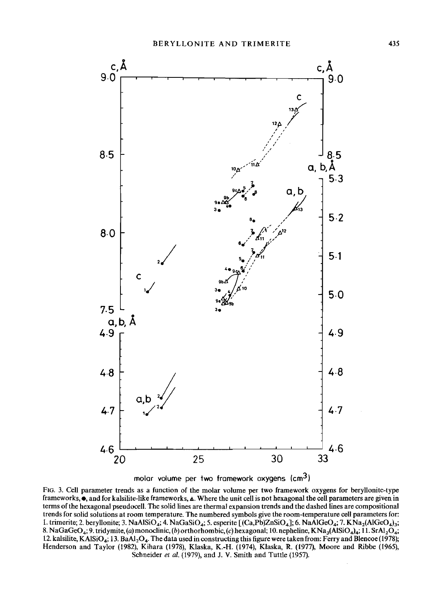



FIG. 3. Cell parameter trends as a function of the molar volume per two framework oxygens for beryllonite-type frameworks,  $\bullet$ , and for kalsilite-like frameworks,  $\triangle$ . Where the unit cell is not hexagonal the cell parameters are given in terms ofthe hexagonal pseudocell. The solid lines are thermal expansion trends and the dashed lines are compositional trends for solid solutions at room temperature. The numbered symbols give the room-temperature cell parameters for: 1. trimerite; 2. beryllonite; 3. NaAlSiO<sub>4</sub>; 4. NaGaSiO<sub>4</sub>; 5. esperite [(Ca,Pb)ZnSiO<sub>4</sub>]; 6. NaAlGeO<sub>4</sub>; 7. KNa<sub>2</sub>(AlGeO<sub>4</sub>)<sub>3</sub>; 8. NaGaGeO<sub>4</sub>; 9. tridymite, (a) monoclinic, (b) orthorhombic, (c) hexagonal; 10. nepheline, KNa<sub>3</sub>(AlSiO<sub>4</sub>)<sub>4</sub>; 11. SrAl<sub>2</sub>O<sub>4</sub>; 12. kalsilite, KAlSiO<sub>4</sub>; 13. BaAl<sub>2</sub>O<sub>4</sub>. The data used in constructing this figure were taken from: Ferry and Blencoe (1978); Henderson and Taylor (1982), Kihara (1978), Klaska, K.-H. (1974), Klaska, R. (1977), Moore and Ribbe (1965), Schneider *et al.* (1979), and J. V. Smith and Tuttle (1957).